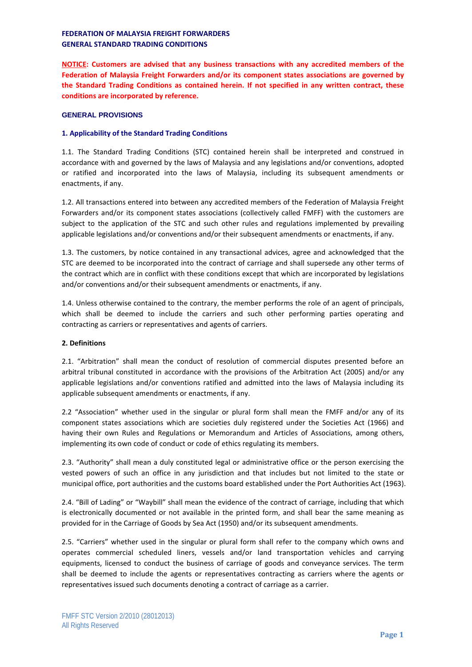**NOTICE: Customers are advised that any business transactions with any accredited members of the Federation of Malaysia Freight Forwarders and/or its component states associations are governed by the Standard Trading Conditions as contained herein. If not specified in any written contract, these conditions are incorporated by reference.**

## **GENERAL PROVISIONS**

# **1. Applicability of the Standard Trading Conditions**

1.1. The Standard Trading Conditions (STC) contained herein shall be interpreted and construed in accordance with and governed by the laws of Malaysia and any legislations and/or conventions, adopted or ratified and incorporated into the laws of Malaysia, including its subsequent amendments or enactments, if any.

1.2. All transactions entered into between any accredited members of the Federation of Malaysia Freight Forwarders and/or its component states associations (collectively called FMFF) with the customers are subject to the application of the STC and such other rules and regulations implemented by prevailing applicable legislations and/or conventions and/or their subsequent amendments or enactments, if any.

1.3. The customers, by notice contained in any transactional advices, agree and acknowledged that the STC are deemed to be incorporated into the contract of carriage and shall supersede any other terms of the contract which are in conflict with these conditions except that which are incorporated by legislations and/or conventions and/or their subsequent amendments or enactments, if any.

1.4. Unless otherwise contained to the contrary, the member performs the role of an agent of principals, which shall be deemed to include the carriers and such other performing parties operating and contracting as carriers or representatives and agents of carriers.

## **2. Definitions**

2.1. "Arbitration" shall mean the conduct of resolution of commercial disputes presented before an arbitral tribunal constituted in accordance with the provisions of the Arbitration Act (2005) and/or any applicable legislations and/or conventions ratified and admitted into the laws of Malaysia including its applicable subsequent amendments or enactments, if any.

2.2 "Association" whether used in the singular or plural form shall mean the FMFF and/or any of its component states associations which are societies duly registered under the Societies Act (1966) and having their own Rules and Regulations or Memorandum and Articles of Associations, among others, implementing its own code of conduct or code of ethics regulating its members.

2.3. "Authority" shall mean a duly constituted legal or administrative office or the person exercising the vested powers of such an office in any jurisdiction and that includes but not limited to the state or municipal office, port authorities and the customs board established under the Port Authorities Act (1963).

2.4. "Bill of Lading" or "Waybill" shall mean the evidence of the contract of carriage, including that which is electronically documented or not available in the printed form, and shall bear the same meaning as provided for in the Carriage of Goods by Sea Act (1950) and/or its subsequent amendments.

2.5. "Carriers" whether used in the singular or plural form shall refer to the company which owns and operates commercial scheduled liners, vessels and/or land transportation vehicles and carrying equipments, licensed to conduct the business of carriage of goods and conveyance services. The term shall be deemed to include the agents or representatives contracting as carriers where the agents or representatives issued such documents denoting a contract of carriage as a carrier.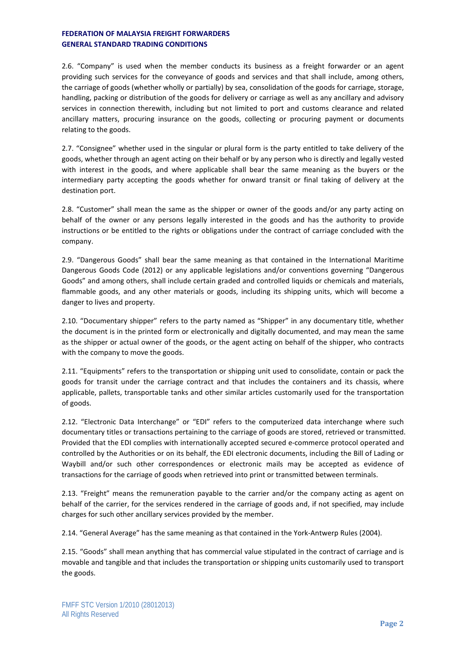2.6. "Company" is used when the member conducts its business as a freight forwarder or an agent providing such services for the conveyance of goods and services and that shall include, among others, the carriage of goods (whether wholly or partially) by sea, consolidation of the goods for carriage, storage, handling, packing or distribution of the goods for delivery or carriage as well as any ancillary and advisory services in connection therewith, including but not limited to port and customs clearance and related ancillary matters, procuring insurance on the goods, collecting or procuring payment or documents relating to the goods.

2.7. "Consignee" whether used in the singular or plural form is the party entitled to take delivery of the goods, whether through an agent acting on their behalf or by any person who is directly and legally vested with interest in the goods, and where applicable shall bear the same meaning as the buyers or the intermediary party accepting the goods whether for onward transit or final taking of delivery at the destination port.

2.8. "Customer" shall mean the same as the shipper or owner of the goods and/or any party acting on behalf of the owner or any persons legally interested in the goods and has the authority to provide instructions or be entitled to the rights or obligations under the contract of carriage concluded with the company.

2.9. "Dangerous Goods" shall bear the same meaning as that contained in the International Maritime Dangerous Goods Code (2012) or any applicable legislations and/or conventions governing "Dangerous Goods" and among others, shall include certain graded and controlled liquids or chemicals and materials, flammable goods, and any other materials or goods, including its shipping units, which will become a danger to lives and property.

2.10. "Documentary shipper" refers to the party named as "Shipper" in any documentary title, whether the document is in the printed form or electronically and digitally documented, and may mean the same as the shipper or actual owner of the goods, or the agent acting on behalf of the shipper, who contracts with the company to move the goods.

2.11. "Equipments" refers to the transportation or shipping unit used to consolidate, contain or pack the goods for transit under the carriage contract and that includes the containers and its chassis, where applicable, pallets, transportable tanks and other similar articles customarily used for the transportation of goods.

2.12. "Electronic Data Interchange" or "EDI" refers to the computerized data interchange where such documentary titles or transactions pertaining to the carriage of goods are stored, retrieved or transmitted. Provided that the EDI complies with internationally accepted secured e-commerce protocol operated and controlled by the Authorities or on its behalf, the EDI electronic documents, including the Bill of Lading or Waybill and/or such other correspondences or electronic mails may be accepted as evidence of transactions for the carriage of goods when retrieved into print or transmitted between terminals.

2.13. "Freight" means the remuneration payable to the carrier and/or the company acting as agent on behalf of the carrier, for the services rendered in the carriage of goods and, if not specified, may include charges for such other ancillary services provided by the member.

2.14. "General Average" has the same meaning as that contained in the York-Antwerp Rules (2004).

2.15. "Goods" shall mean anything that has commercial value stipulated in the contract of carriage and is movable and tangible and that includes the transportation or shipping units customarily used to transport the goods.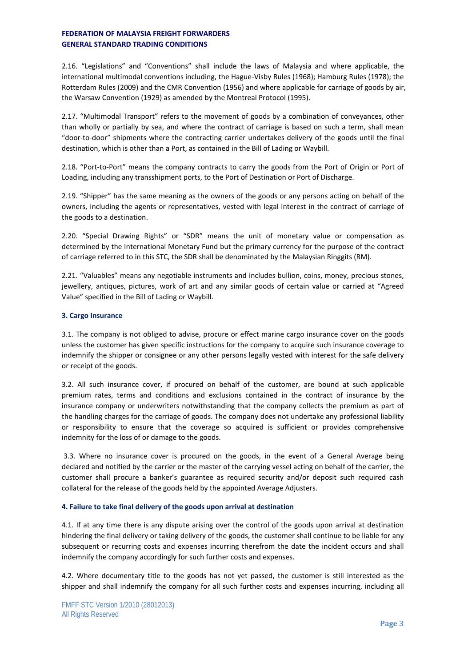2.16. "Legislations" and "Conventions" shall include the laws of Malaysia and where applicable, the international multimodal conventions including, the Hague-Visby Rules (1968); Hamburg Rules (1978); the Rotterdam Rules (2009) and the CMR Convention (1956) and where applicable for carriage of goods by air, the Warsaw Convention (1929) as amended by the Montreal Protocol (1995).

2.17. "Multimodal Transport" refers to the movement of goods by a combination of conveyances, other than wholly or partially by sea, and where the contract of carriage is based on such a term, shall mean "door-to-door" shipments where the contracting carrier undertakes delivery of the goods until the final destination, which is other than a Port, as contained in the Bill of Lading or Waybill.

2.18. "Port-to-Port" means the company contracts to carry the goods from the Port of Origin or Port of Loading, including any transshipment ports, to the Port of Destination or Port of Discharge.

2.19. "Shipper" has the same meaning as the owners of the goods or any persons acting on behalf of the owners, including the agents or representatives, vested with legal interest in the contract of carriage of the goods to a destination.

2.20. "Special Drawing Rights" or "SDR" means the unit of monetary value or compensation as determined by the International Monetary Fund but the primary currency for the purpose of the contract of carriage referred to in this STC, the SDR shall be denominated by the Malaysian Ringgits (RM).

2.21. "Valuables" means any negotiable instruments and includes bullion, coins, money, precious stones, jewellery, antiques, pictures, work of art and any similar goods of certain value or carried at "Agreed Value" specified in the Bill of Lading or Waybill.

## **3. Cargo Insurance**

3.1. The company is not obliged to advise, procure or effect marine cargo insurance cover on the goods unless the customer has given specific instructions for the company to acquire such insurance coverage to indemnify the shipper or consignee or any other persons legally vested with interest for the safe delivery or receipt of the goods.

3.2. All such insurance cover, if procured on behalf of the customer, are bound at such applicable premium rates, terms and conditions and exclusions contained in the contract of insurance by the insurance company or underwriters notwithstanding that the company collects the premium as part of the handling charges for the carriage of goods. The company does not undertake any professional liability or responsibility to ensure that the coverage so acquired is sufficient or provides comprehensive indemnity for the loss of or damage to the goods.

3.3. Where no insurance cover is procured on the goods, in the event of a General Average being declared and notified by the carrier or the master of the carrying vessel acting on behalf of the carrier, the customer shall procure a banker's guarantee as required security and/or deposit such required cash collateral for the release of the goods held by the appointed Average Adjusters.

## **4. Failure to take final delivery of the goods upon arrival at destination**

4.1. If at any time there is any dispute arising over the control of the goods upon arrival at destination hindering the final delivery or taking delivery of the goods, the customer shall continue to be liable for any subsequent or recurring costs and expenses incurring therefrom the date the incident occurs and shall indemnify the company accordingly for such further costs and expenses.

4.2. Where documentary title to the goods has not yet passed, the customer is still interested as the shipper and shall indemnify the company for all such further costs and expenses incurring, including all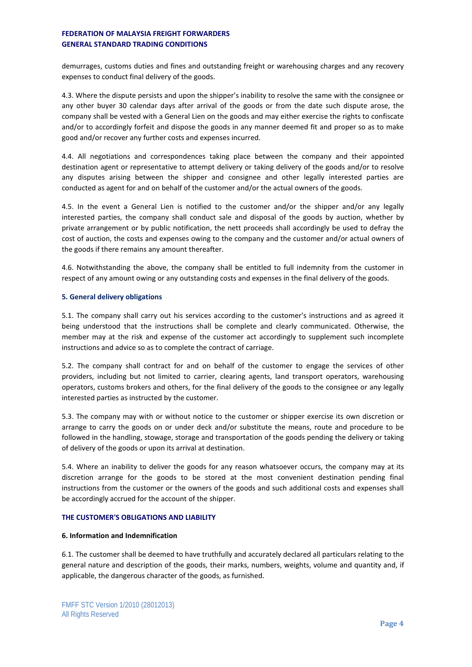demurrages, customs duties and fines and outstanding freight or warehousing charges and any recovery expenses to conduct final delivery of the goods.

4.3. Where the dispute persists and upon the shipper's inability to resolve the same with the consignee or any other buyer 30 calendar days after arrival of the goods or from the date such dispute arose, the company shall be vested with a General Lien on the goods and may either exercise the rights to confiscate and/or to accordingly forfeit and dispose the goods in any manner deemed fit and proper so as to make good and/or recover any further costs and expenses incurred.

4.4. All negotiations and correspondences taking place between the company and their appointed destination agent or representative to attempt delivery or taking delivery of the goods and/or to resolve any disputes arising between the shipper and consignee and other legally interested parties are conducted as agent for and on behalf of the customer and/or the actual owners of the goods.

4.5. In the event a General Lien is notified to the customer and/or the shipper and/or any legally interested parties, the company shall conduct sale and disposal of the goods by auction, whether by private arrangement or by public notification, the nett proceeds shall accordingly be used to defray the cost of auction, the costs and expenses owing to the company and the customer and/or actual owners of the goods if there remains any amount thereafter.

4.6. Notwithstanding the above, the company shall be entitled to full indemnity from the customer in respect of any amount owing or any outstanding costs and expenses in the final delivery of the goods.

## **5. General delivery obligations**

5.1. The company shall carry out his services according to the customer's instructions and as agreed it being understood that the instructions shall be complete and clearly communicated. Otherwise, the member may at the risk and expense of the customer act accordingly to supplement such incomplete instructions and advice so as to complete the contract of carriage.

5.2. The company shall contract for and on behalf of the customer to engage the services of other providers, including but not limited to carrier, clearing agents, land transport operators, warehousing operators, customs brokers and others, for the final delivery of the goods to the consignee or any legally interested parties as instructed by the customer.

5.3. The company may with or without notice to the customer or shipper exercise its own discretion or arrange to carry the goods on or under deck and/or substitute the means, route and procedure to be followed in the handling, stowage, storage and transportation of the goods pending the delivery or taking of delivery of the goods or upon its arrival at destination.

5.4. Where an inability to deliver the goods for any reason whatsoever occurs, the company may at its discretion arrange for the goods to be stored at the most convenient destination pending final instructions from the customer or the owners of the goods and such additional costs and expenses shall be accordingly accrued for the account of the shipper.

# **THE CUSTOMER'S OBLIGATIONS AND LIABILITY**

## **6. Information and Indemnification**

6.1. The customer shall be deemed to have truthfully and accurately declared all particulars relating to the general nature and description of the goods, their marks, numbers, weights, volume and quantity and, if applicable, the dangerous character of the goods, as furnished.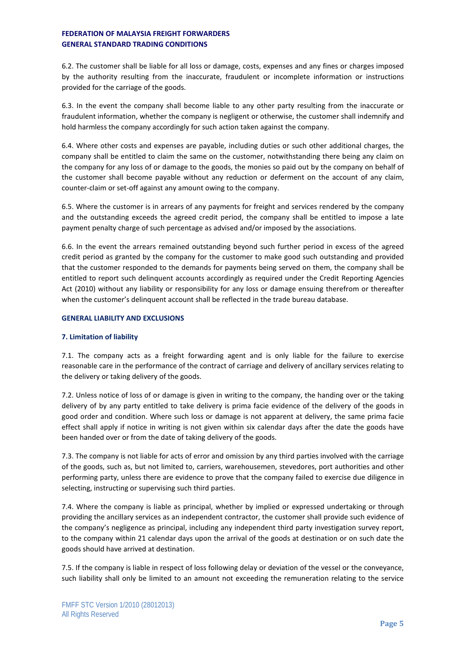6.2. The customer shall be liable for all loss or damage, costs, expenses and any fines or charges imposed by the authority resulting from the inaccurate, fraudulent or incomplete information or instructions provided for the carriage of the goods.

6.3. In the event the company shall become liable to any other party resulting from the inaccurate or fraudulent information, whether the company is negligent or otherwise, the customer shall indemnify and hold harmless the company accordingly for such action taken against the company.

6.4. Where other costs and expenses are payable, including duties or such other additional charges, the company shall be entitled to claim the same on the customer, notwithstanding there being any claim on the company for any loss of or damage to the goods, the monies so paid out by the company on behalf of the customer shall become payable without any reduction or deferment on the account of any claim, counter-claim or set-off against any amount owing to the company.

6.5. Where the customer is in arrears of any payments for freight and services rendered by the company and the outstanding exceeds the agreed credit period, the company shall be entitled to impose a late payment penalty charge of such percentage as advised and/or imposed by the associations.

6.6. In the event the arrears remained outstanding beyond such further period in excess of the agreed credit period as granted by the company for the customer to make good such outstanding and provided that the customer responded to the demands for payments being served on them, the company shall be entitled to report such delinquent accounts accordingly as required under the Credit Reporting Agencies Act (2010) without any liability or responsibility for any loss or damage ensuing therefrom or thereafter when the customer's delinquent account shall be reflected in the trade bureau database.

#### **GENERAL LIABILITY AND EXCLUSIONS**

## **7. Limitation of liability**

7.1. The company acts as a freight forwarding agent and is only liable for the failure to exercise reasonable care in the performance of the contract of carriage and delivery of ancillary services relating to the delivery or taking delivery of the goods.

7.2. Unless notice of loss of or damage is given in writing to the company, the handing over or the taking delivery of by any party entitled to take delivery is prima facie evidence of the delivery of the goods in good order and condition. Where such loss or damage is not apparent at delivery, the same prima facie effect shall apply if notice in writing is not given within six calendar days after the date the goods have been handed over or from the date of taking delivery of the goods.

7.3. The company is not liable for acts of error and omission by any third parties involved with the carriage of the goods, such as, but not limited to, carriers, warehousemen, stevedores, port authorities and other performing party, unless there are evidence to prove that the company failed to exercise due diligence in selecting, instructing or supervising such third parties.

7.4. Where the company is liable as principal, whether by implied or expressed undertaking or through providing the ancillary services as an independent contractor, the customer shall provide such evidence of the company's negligence as principal, including any independent third party investigation survey report, to the company within 21 calendar days upon the arrival of the goods at destination or on such date the goods should have arrived at destination.

7.5. If the company is liable in respect of loss following delay or deviation of the vessel or the conveyance, such liability shall only be limited to an amount not exceeding the remuneration relating to the service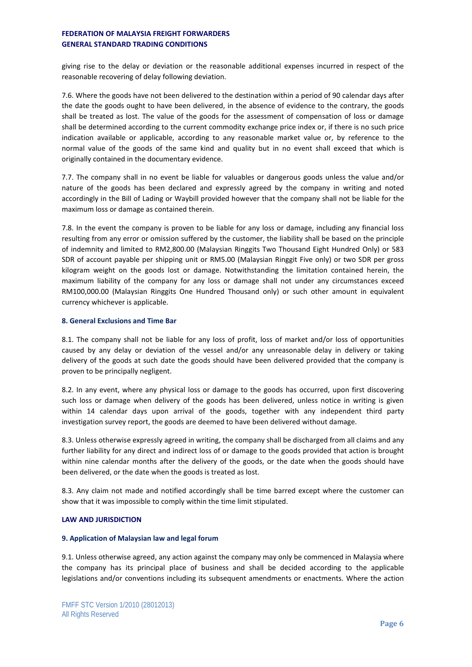giving rise to the delay or deviation or the reasonable additional expenses incurred in respect of the reasonable recovering of delay following deviation.

7.6. Where the goods have not been delivered to the destination within a period of 90 calendar days after the date the goods ought to have been delivered, in the absence of evidence to the contrary, the goods shall be treated as lost. The value of the goods for the assessment of compensation of loss or damage shall be determined according to the current commodity exchange price index or, if there is no such price indication available or applicable, according to any reasonable market value or, by reference to the normal value of the goods of the same kind and quality but in no event shall exceed that which is originally contained in the documentary evidence.

7.7. The company shall in no event be liable for valuables or dangerous goods unless the value and/or nature of the goods has been declared and expressly agreed by the company in writing and noted accordingly in the Bill of Lading or Waybill provided however that the company shall not be liable for the maximum loss or damage as contained therein.

7.8. In the event the company is proven to be liable for any loss or damage, including any financial loss resulting from any error or omission suffered by the customer, the liability shall be based on the principle of indemnity and limited to RM2,800.00 (Malaysian Ringgits Two Thousand Eight Hundred Only) or 583 SDR of account payable per shipping unit or RM5.00 (Malaysian Ringgit Five only) or two SDR per gross kilogram weight on the goods lost or damage. Notwithstanding the limitation contained herein, the maximum liability of the company for any loss or damage shall not under any circumstances exceed RM100,000.00 (Malaysian Ringgits One Hundred Thousand only) or such other amount in equivalent currency whichever is applicable.

#### **8. General Exclusions and Time Bar**

8.1. The company shall not be liable for any loss of profit, loss of market and/or loss of opportunities caused by any delay or deviation of the vessel and/or any unreasonable delay in delivery or taking delivery of the goods at such date the goods should have been delivered provided that the company is proven to be principally negligent.

8.2. In any event, where any physical loss or damage to the goods has occurred, upon first discovering such loss or damage when delivery of the goods has been delivered, unless notice in writing is given within 14 calendar days upon arrival of the goods, together with any independent third party investigation survey report, the goods are deemed to have been delivered without damage.

8.3. Unless otherwise expressly agreed in writing, the company shall be discharged from all claims and any further liability for any direct and indirect loss of or damage to the goods provided that action is brought within nine calendar months after the delivery of the goods, or the date when the goods should have been delivered, or the date when the goods is treated as lost.

8.3. Any claim not made and notified accordingly shall be time barred except where the customer can show that it was impossible to comply within the time limit stipulated.

## **LAW AND JURISDICTION**

#### **9. Application of Malaysian law and legal forum**

9.1. Unless otherwise agreed, any action against the company may only be commenced in Malaysia where the company has its principal place of business and shall be decided according to the applicable legislations and/or conventions including its subsequent amendments or enactments. Where the action